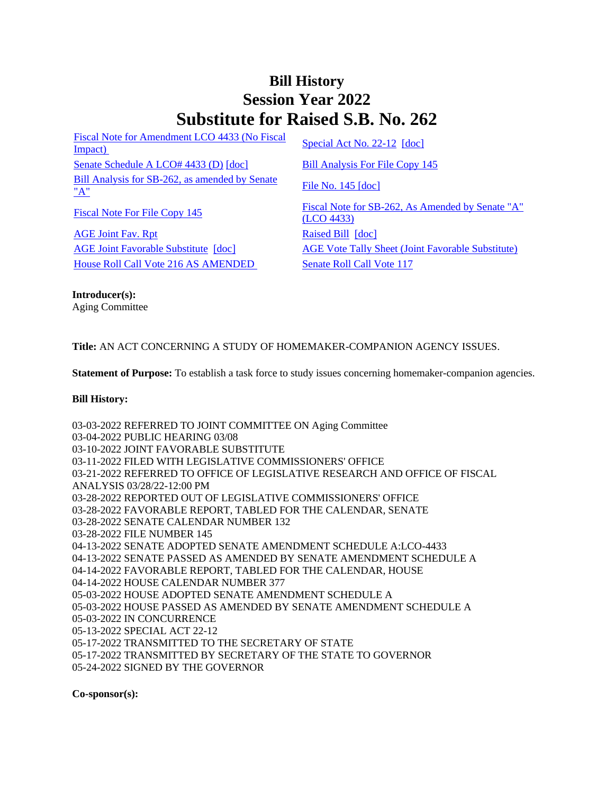## **Bill History Session Year 2022 Substitute for Raised S.B. No. 262**

[Fiscal Note for Amendment LCO 4433 \(No Fiscal](/2022/fna/pdf/2022SB-00262-R00LCO04433-FNA.PDF)  Fiscal Note for Alliendinent ECO 4435 (NO Fiscal<br>[Impact\)](/2022/fna/pdf/2022SB-00262-R00LCO04433-FNA.PDF) [Special Act No. 22-12](/2022/ACT/SA/PDF/2022SA-00012-R00SB-00262-SA.PDF) [\[doc\]](https://search.cga.state.ct.us/dl2022/SA/DOC/2022SA-00012-R00SB-00262-SA.DOCX) [Senate Schedule A LCO# 4433 \(D\)](/2022/amd/S/pdf/2022SB-00262-R00SA-AMD.pdf) [\[doc\]](https://search.cga.state.ct.us/dl2022/AMd/DOC/2022SB-00262-R00SA-AMD.Docx) [Bill Analysis For File Copy 145](/2022/BA/PDF/2022SB-00262-R000145-BA.PDF) [Bill Analysis for SB-262, as amended by Senate](/2022/BA/PDF/2022SB-00262-R01-BA.PDF)   $\frac{\text{File No. 145 [doc]}}{\text{A}}$  $\frac{\text{File No. 145 [doc]}}{\text{A}}$  $\frac{\text{File No. 145 [doc]}}{\text{A}}$  $\frac{\text{File No. 145 [doc]}}{\text{A}}$  $\frac{\text{File No. 145 [doc]}}{\text{A}}$ 

[AGE Joint Fav. Rpt](/2022/JFR/S/PDF/2022SB-00262-R00AGE-JFR.PDF) [Raised Bill](/2022/TOB/S/PDF/2022SB-00262-R00-SB.PDF) [\[doc\]](https://search.cga.state.ct.us/dl2022/TOB/DOC/2022SB-00262-R00-SB.DOCX) [House Roll Call Vote 216 AS AMENDED](/2022/VOTE/H/PDF/2022HV-00216-R00SB00262-HV.PDF) [Senate Roll Call Vote 117](/2022/VOTE/S/PDF/2022SV-00117-R00SB00262-SV.PDF) 

[Fiscal Note For File Copy 145](/2022/FN/PDF/2022SB-00262-R000145-FN.PDF) Fiscal Note for SB-262, As Amended by Senate "A" [\(LCO 4433\)](/2022/FN/PDF/2022SB-00262-R01-FN.PDF) [AGE Joint Favorable Substitute](/2022/TOB/S/PDF/2022SB-00262-R01-SB.PDF) [\[doc\]](https://search.cga.state.ct.us/dl2022/TOB/DOC/2022SB-00262-R01-SB.DOCX) [AGE Vote Tally Sheet \(Joint Favorable Substitute\)](/2022/TS/S/PDF/2022SB-00262-R00AGE-CV36-TS.PDF)

**Introducer(s):** Aging Committee

**Title:** AN ACT CONCERNING A STUDY OF HOMEMAKER-COMPANION AGENCY ISSUES.

**Statement of Purpose:** To establish a task force to study issues concerning homemaker-companion agencies.

## **Bill History:**

03-03-2022 REFERRED TO JOINT COMMITTEE ON Aging Committee 03-04-2022 PUBLIC HEARING 03/08 03-10-2022 JOINT FAVORABLE SUBSTITUTE 03-11-2022 FILED WITH LEGISLATIVE COMMISSIONERS' OFFICE 03-21-2022 REFERRED TO OFFICE OF LEGISLATIVE RESEARCH AND OFFICE OF FISCAL ANALYSIS 03/28/22-12:00 PM 03-28-2022 REPORTED OUT OF LEGISLATIVE COMMISSIONERS' OFFICE 03-28-2022 FAVORABLE REPORT, TABLED FOR THE CALENDAR, SENATE 03-28-2022 SENATE CALENDAR NUMBER 132 03-28-2022 FILE NUMBER 145 04-13-2022 SENATE ADOPTED SENATE AMENDMENT SCHEDULE A:LCO-4433 04-13-2022 SENATE PASSED AS AMENDED BY SENATE AMENDMENT SCHEDULE A 04-14-2022 FAVORABLE REPORT, TABLED FOR THE CALENDAR, HOUSE 04-14-2022 HOUSE CALENDAR NUMBER 377 05-03-2022 HOUSE ADOPTED SENATE AMENDMENT SCHEDULE A 05-03-2022 HOUSE PASSED AS AMENDED BY SENATE AMENDMENT SCHEDULE A 05-03-2022 IN CONCURRENCE 05-13-2022 SPECIAL ACT 22-12 05-17-2022 TRANSMITTED TO THE SECRETARY OF STATE 05-17-2022 TRANSMITTED BY SECRETARY OF THE STATE TO GOVERNOR 05-24-2022 SIGNED BY THE GOVERNOR

**Co-sponsor(s):**